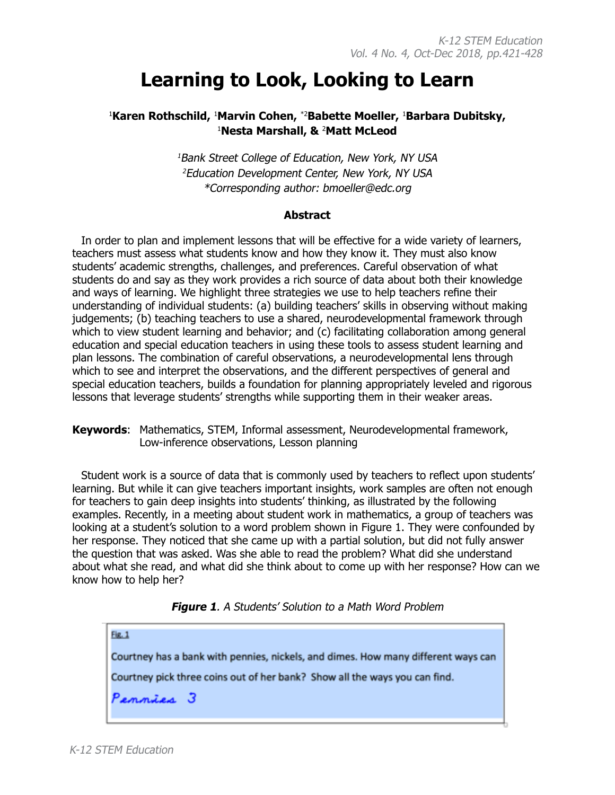# **Learning to Look, Looking to Learn**

## <sup>1</sup>Karen Rothschild, <sup>1</sup>Marvin Cohen, \*<sup>2</sup>Babette Moeller, <sup>1</sup>Barbara Dubitsky, 1 **Nesta Marshall, &** <sup>2</sup> **Matt McLeod**

<sup>1</sup>Bank Street College of Education, New York, NY USA <sup>2</sup>Education Development Center, New York, NY USA \*Corresponding author: bmoeller@edc.org

#### **Abstract**

In order to plan and implement lessons that will be effective for a wide variety of learners, teachers must assess what students know and how they know it. They must also know students' academic strengths, challenges, and preferences. Careful observation of what students do and say as they work provides a rich source of data about both their knowledge and ways of learning. We highlight three strategies we use to help teachers refine their understanding of individual students: (a) building teachers' skills in observing without making judgements; (b) teaching teachers to use a shared, neurodevelopmental framework through which to view student learning and behavior; and (c) facilitating collaboration among general education and special education teachers in using these tools to assess student learning and plan lessons. The combination of careful observations, a neurodevelopmental lens through which to see and interpret the observations, and the different perspectives of general and special education teachers, builds a foundation for planning appropriately leveled and rigorous lessons that leverage students' strengths while supporting them in their weaker areas.

**Keywords**: Mathematics, STEM, Informal assessment, Neurodevelopmental framework, Low-inference observations, Lesson planning

Student work is a source of data that is commonly used by teachers to reflect upon students' learning. But while it can give teachers important insights, work samples are often not enough for teachers to gain deep insights into students' thinking, as illustrated by the following examples. Recently, in a meeting about student work in mathematics, a group of teachers was looking at a student's solution to a word problem shown in Figure 1. They were confounded by her response. They noticed that she came up with a partial solution, but did not fully answer the question that was asked. Was she able to read the problem? What did she understand about what she read, and what did she think about to come up with her response? How can we know how to help her?



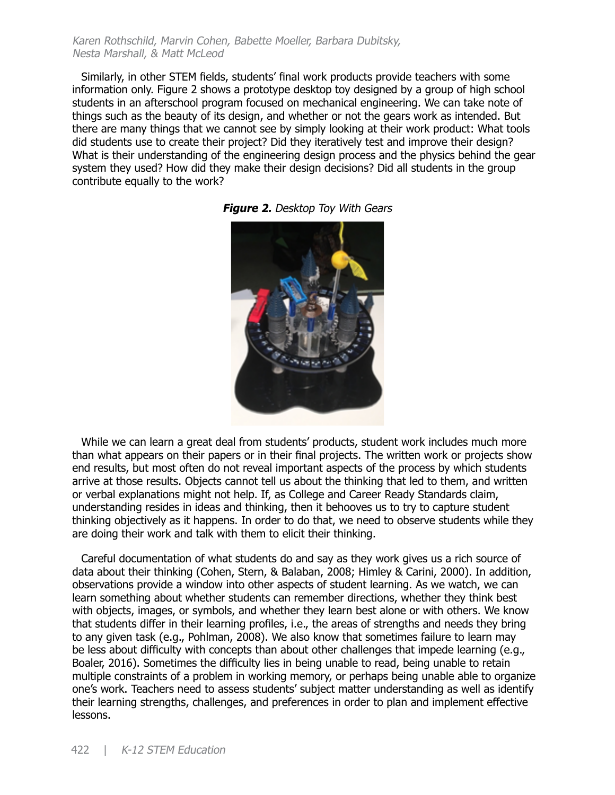Karen Rothschild, Marvin Cohen, Babette Moeller, Barbara Dubitsky, Nesta Marshall, & Matt McLeod

Similarly, in other STEM fields, students' final work products provide teachers with some information only. Figure 2 shows a prototype desktop toy designed by a group of high school students in an afterschool program focused on mechanical engineering. We can take note of things such as the beauty of its design, and whether or not the gears work as intended. But there are many things that we cannot see by simply looking at their work product: What tools did students use to create their project? Did they iteratively test and improve their design? What is their understanding of the engineering design process and the physics behind the gear system they used? How did they make their design decisions? Did all students in the group contribute equally to the work?



**Figure 2.** Desktop Toy With Gears

While we can learn a great deal from students' products, student work includes much more than what appears on their papers or in their final projects. The written work or projects show end results, but most often do not reveal important aspects of the process by which students arrive at those results. Objects cannot tell us about the thinking that led to them, and written or verbal explanations might not help. If, as College and Career Ready Standards claim, understanding resides in ideas and thinking, then it behooves us to try to capture student thinking objectively as it happens. In order to do that, we need to observe students while they are doing their work and talk with them to elicit their thinking.

Careful documentation of what students do and say as they work gives us a rich source of data about their thinking (Cohen, Stern, & Balaban, 2008; Himley & Carini, 2000). In addition, observations provide a window into other aspects of student learning. As we watch, we can learn something about whether students can remember directions, whether they think best with objects, images, or symbols, and whether they learn best alone or with others. We know that students differ in their learning profiles, i.e., the areas of strengths and needs they bring to any given task (e.g., Pohlman, 2008). We also know that sometimes failure to learn may be less about difficulty with concepts than about other challenges that impede learning (e.g., Boaler, 2016). Sometimes the difficulty lies in being unable to read, being unable to retain multiple constraints of a problem in working memory, or perhaps being unable able to organize one's work. Teachers need to assess students' subject matter understanding as well as identify their learning strengths, challenges, and preferences in order to plan and implement effective lessons.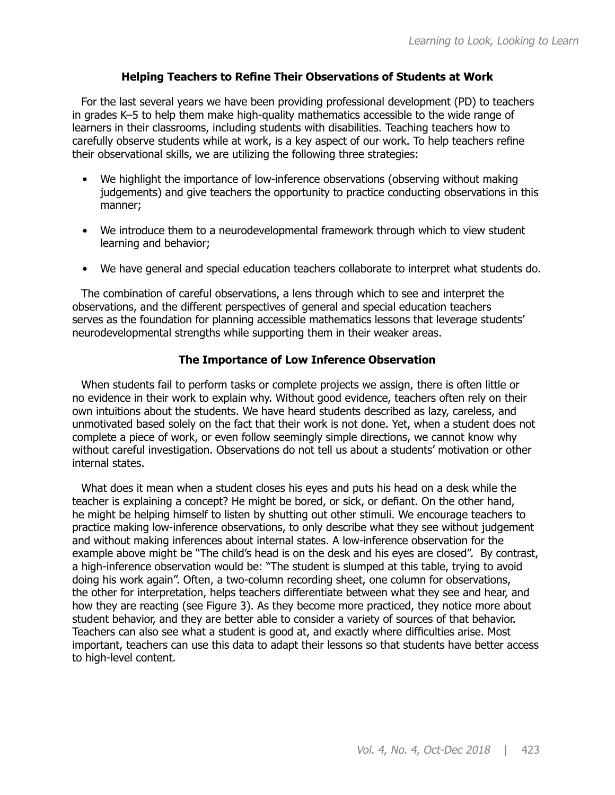#### **Helping Teachers to Refine Their Observations of Students at Work**

For the last several years we have been providing professional development (PD) to teachers in grades K–5 to help them make high-quality mathematics accessible to the wide range of learners in their classrooms, including students with disabilities. Teaching teachers how to carefully observe students while at work, is a key aspect of our work. To help teachers refine their observational skills, we are utilizing the following three strategies:

- We highlight the importance of low-inference observations (observing without making judgements) and give teachers the opportunity to practice conducting observations in this manner;
- We introduce them to a neurodevelopmental framework through which to view student learning and behavior;
- We have general and special education teachers collaborate to interpret what students do.

The combination of careful observations, a lens through which to see and interpret the observations, and the different perspectives of general and special education teachers serves as the foundation for planning accessible mathematics lessons that leverage students' neurodevelopmental strengths while supporting them in their weaker areas.

#### **The Importance of Low Inference Observation**

When students fail to perform tasks or complete projects we assign, there is often little or no evidence in their work to explain why. Without good evidence, teachers often rely on their own intuitions about the students. We have heard students described as lazy, careless, and unmotivated based solely on the fact that their work is not done. Yet, when a student does not complete a piece of work, or even follow seemingly simple directions, we cannot know why without careful investigation. Observations do not tell us about a students' motivation or other internal states.

What does it mean when a student closes his eyes and puts his head on a desk while the teacher is explaining a concept? He might be bored, or sick, or defiant. On the other hand, he might be helping himself to listen by shutting out other stimuli. We encourage teachers to practice making low-inference observations, to only describe what they see without judgement and without making inferences about internal states. A low-inference observation for the example above might be "The child's head is on the desk and his eyes are closed". By contrast, a high-inference observation would be: "The student is slumped at this table, trying to avoid doing his work again". Often, a two-column recording sheet, one column for observations, the other for interpretation, helps teachers differentiate between what they see and hear, and how they are reacting (see Figure 3). As they become more practiced, they notice more about student behavior, and they are better able to consider a variety of sources of that behavior. Teachers can also see what a student is good at, and exactly where difficulties arise. Most important, teachers can use this data to adapt their lessons so that students have better access to high-level content.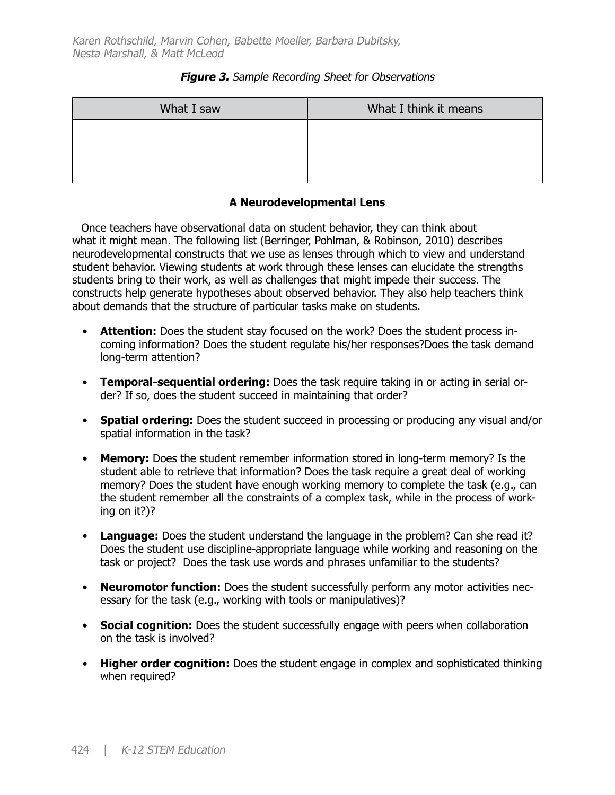#### **Figure 3.** Sample Recording Sheet for Observations

| What I saw | What I think it means |
|------------|-----------------------|
|            |                       |
|            |                       |
|            |                       |

## **A Neurodevelopmental Lens**

Once teachers have observational data on student behavior, they can think about what it might mean. The following list (Berringer, Pohlman, & Robinson, 2010) describes neurodevelopmental constructs that we use as lenses through which to view and understand student behavior. Viewing students at work through these lenses can elucidate the strengths students bring to their work, as well as challenges that might impede their success. The constructs help generate hypotheses about observed behavior. They also help teachers think about demands that the structure of particular tasks make on students.

- **Attention:** Does the student stay focused on the work? Does the student process incoming information? Does the student regulate his/her responses?Does the task demand long-term attention?
- **Temporal-sequential ordering:** Does the task require taking in or acting in serial order? If so, does the student succeed in maintaining that order?
- **Spatial ordering:** Does the student succeed in processing or producing any visual and/or spatial information in the task?
- **Memory:** Does the student remember information stored in long-term memory? Is the student able to retrieve that information? Does the task require a great deal of working memory? Does the student have enough working memory to complete the task (e.g., can the student remember all the constraints of a complex task, while in the process of working on it?)?
- **Language:** Does the student understand the language in the problem? Can she read it? Does the student use discipline-appropriate language while working and reasoning on the task or project? Does the task use words and phrases unfamiliar to the students?
- **Neuromotor function:** Does the student successfully perform any motor activities necessary for the task (e.g., working with tools or manipulatives)?
- **Social cognition:** Does the student successfully engage with peers when collaboration on the task is involved?
- **Higher order cognition:** Does the student engage in complex and sophisticated thinking when required?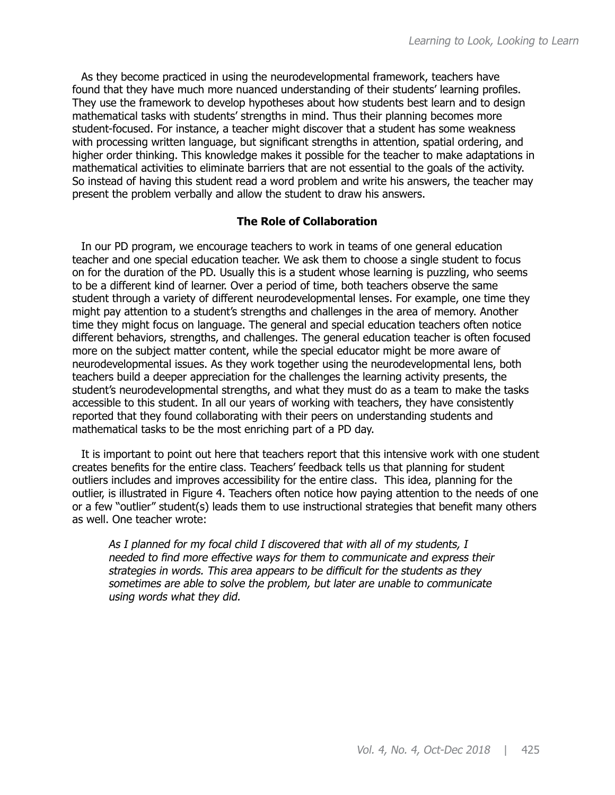As they become practiced in using the neurodevelopmental framework, teachers have found that they have much more nuanced understanding of their students' learning profiles. They use the framework to develop hypotheses about how students best learn and to design mathematical tasks with students' strengths in mind. Thus their planning becomes more student-focused. For instance, a teacher might discover that a student has some weakness with processing written language, but significant strengths in attention, spatial ordering, and higher order thinking. This knowledge makes it possible for the teacher to make adaptations in mathematical activities to eliminate barriers that are not essential to the goals of the activity. So instead of having this student read a word problem and write his answers, the teacher may present the problem verbally and allow the student to draw his answers.

## **The Role of Collaboration**

In our PD program, we encourage teachers to work in teams of one general education teacher and one special education teacher. We ask them to choose a single student to focus on for the duration of the PD. Usually this is a student whose learning is puzzling, who seems to be a different kind of learner. Over a period of time, both teachers observe the same student through a variety of different neurodevelopmental lenses. For example, one time they might pay attention to a student's strengths and challenges in the area of memory. Another time they might focus on language. The general and special education teachers often notice different behaviors, strengths, and challenges. The general education teacher is often focused more on the subject matter content, while the special educator might be more aware of neurodevelopmental issues. As they work together using the neurodevelopmental lens, both teachers build a deeper appreciation for the challenges the learning activity presents, the student's neurodevelopmental strengths, and what they must do as a team to make the tasks accessible to this student. In all our years of working with teachers, they have consistently reported that they found collaborating with their peers on understanding students and mathematical tasks to be the most enriching part of a PD day.

It is important to point out here that teachers report that this intensive work with one student creates benefits for the entire class. Teachers' feedback tells us that planning for student outliers includes and improves accessibility for the entire class. This idea, planning for the outlier, is illustrated in Figure 4. Teachers often notice how paying attention to the needs of one or a few "outlier" student(s) leads them to use instructional strategies that benefit many others as well. One teacher wrote:

As I planned for my focal child I discovered that with all of my students, I needed to find more effective ways for them to communicate and express their strategies in words. This area appears to be difficult for the students as they sometimes are able to solve the problem, but later are unable to communicate using words what they did.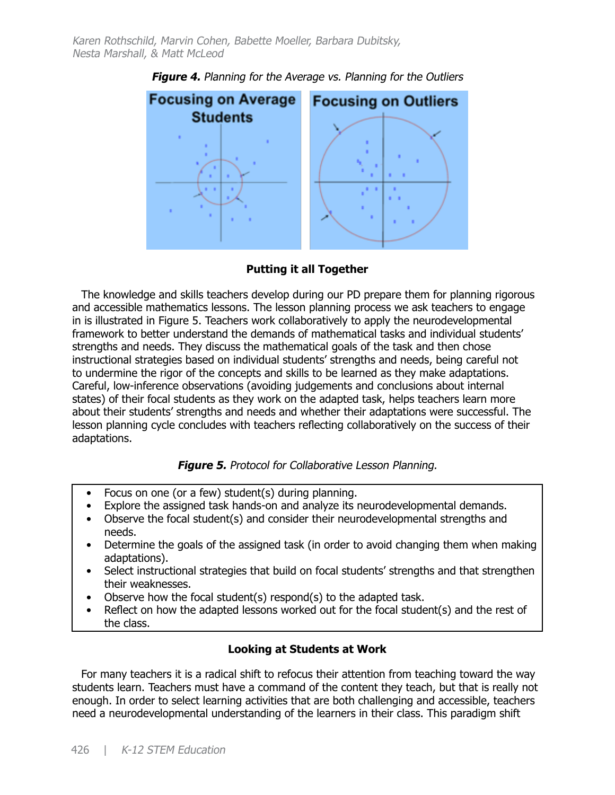

**Figure 4.** Planning for the Average vs. Planning for the Outliers

**Putting it all Together** 

The knowledge and skills teachers develop during our PD prepare them for planning rigorous and accessible mathematics lessons. The lesson planning process we ask teachers to engage in is illustrated in Figure 5. Teachers work collaboratively to apply the neurodevelopmental framework to better understand the demands of mathematical tasks and individual students' strengths and needs. They discuss the mathematical goals of the task and then chose instructional strategies based on individual students' strengths and needs, being careful not to undermine the rigor of the concepts and skills to be learned as they make adaptations. Careful, low-inference observations (avoiding judgements and conclusions about internal states) of their focal students as they work on the adapted task, helps teachers learn more about their students' strengths and needs and whether their adaptations were successful. The lesson planning cycle concludes with teachers reflecting collaboratively on the success of their adaptations.

## **Figure 5.** Protocol for Collaborative Lesson Planning.

- Focus on one (or a few) student(s) during planning.
- Explore the assigned task hands-on and analyze its neurodevelopmental demands.
- Observe the focal student(s) and consider their neurodevelopmental strengths and needs.
- Determine the goals of the assigned task (in order to avoid changing them when making adaptations).
- Select instructional strategies that build on focal students' strengths and that strengthen their weaknesses.
- Observe how the focal student(s) respond(s) to the adapted task.
- Reflect on how the adapted lessons worked out for the focal student(s) and the rest of the class.

## **Looking at Students at Work**

For many teachers it is a radical shift to refocus their attention from teaching toward the way students learn. Teachers must have a command of the content they teach, but that is really not enough. In order to select learning activities that are both challenging and accessible, teachers need a neurodevelopmental understanding of the learners in their class. This paradigm shift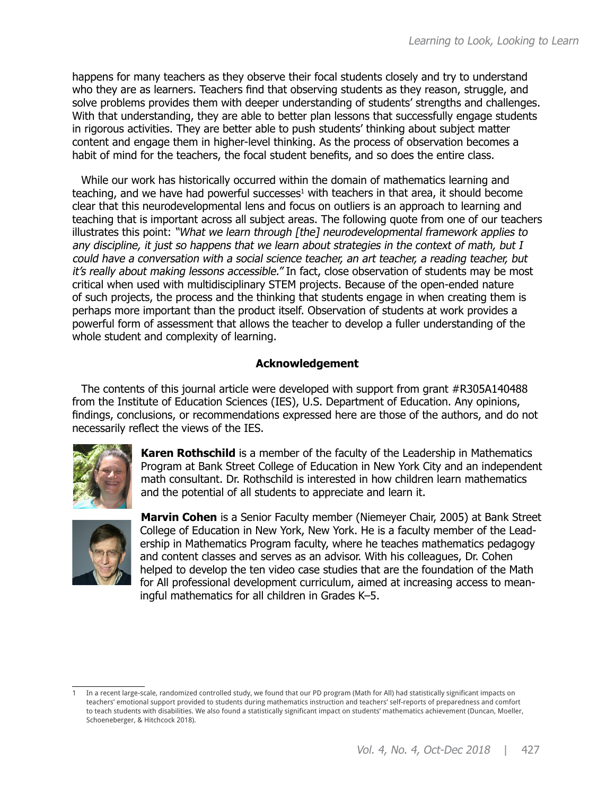happens for many teachers as they observe their focal students closely and try to understand who they are as learners. Teachers find that observing students as they reason, struggle, and solve problems provides them with deeper understanding of students' strengths and challenges. With that understanding, they are able to better plan lessons that successfully engage students in rigorous activities. They are better able to push students' thinking about subject matter content and engage them in higher-level thinking. As the process of observation becomes a habit of mind for the teachers, the focal student benefits, and so does the entire class.

While our work has historically occurred within the domain of mathematics learning and teaching, and we have had powerful successes<sup>1</sup> with teachers in that area, it should become clear that this neurodevelopmental lens and focus on outliers is an approach to learning and teaching that is important across all subject areas. The following quote from one of our teachers illustrates this point: "What we learn through [the] neurodevelopmental framework applies to any discipline, it just so happens that we learn about strategies in the context of math, but I could have a conversation with a social science teacher, an art teacher, a reading teacher, but it's really about making lessons accessible." In fact, close observation of students may be most critical when used with multidisciplinary STEM projects. Because of the open-ended nature of such projects, the process and the thinking that students engage in when creating them is perhaps more important than the product itself. Observation of students at work provides a powerful form of assessment that allows the teacher to develop a fuller understanding of the whole student and complexity of learning.

## **Acknowledgement**

The contents of this journal article were developed with support from grant #R305A140488 from the Institute of Education Sciences (IES), U.S. Department of Education. Any opinions, findings, conclusions, or recommendations expressed here are those of the authors, and do not necessarily reflect the views of the IES.



**Karen Rothschild** is a member of the faculty of the Leadership in Mathematics Program at Bank Street College of Education in New York City and an independent math consultant. Dr. Rothschild is interested in how children learn mathematics and the potential of all students to appreciate and learn it.



**Marvin Cohen** is a Senior Faculty member (Niemeyer Chair, 2005) at Bank Street College of Education in New York, New York. He is a faculty member of the Leadership in Mathematics Program faculty, where he teaches mathematics pedagogy and content classes and serves as an advisor. With his colleagues, Dr. Cohen helped to develop the ten video case studies that are the foundation of the Math for All professional development curriculum, aimed at increasing access to meaningful mathematics for all children in Grades K–5.

<sup>1</sup> In a recent large-scale, randomized controlled study, we found that our PD program (Math for All) had statistically significant impacts on teachers' emotional support provided to students during mathematics instruction and teachers' self-reports of preparedness and comfort to teach students with disabilities. We also found a statistically significant impact on students' mathematics achievement (Duncan, Moeller, Schoeneberger, & Hitchcock 2018).